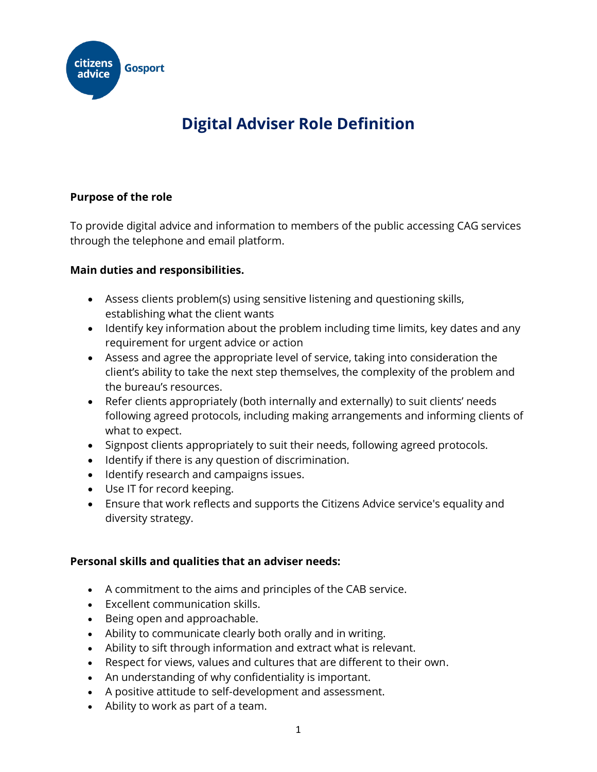

# **Digital Adviser Role Definition**

## **Purpose of the role**

To provide digital advice and information to members of the public accessing CAG services through the telephone and email platform.

## **Main duties and responsibilities.**

- Assess clients problem(s) using sensitive listening and questioning skills, establishing what the client wants
- Identify key information about the problem including time limits, key dates and any requirement for urgent advice or action
- Assess and agree the appropriate level of service, taking into consideration the client's ability to take the next step themselves, the complexity of the problem and the bureau's resources.
- Refer clients appropriately (both internally and externally) to suit clients' needs following agreed protocols, including making arrangements and informing clients of what to expect.
- Signpost clients appropriately to suit their needs, following agreed protocols.
- Identify if there is any question of discrimination.
- Identify research and campaigns issues.
- Use IT for record keeping.
- Ensure that work reflects and supports the Citizens Advice service's equality and diversity strategy.

#### **Personal skills and qualities that an adviser needs:**

- A commitment to the aims and principles of the CAB service.
- Excellent communication skills.
- Being open and approachable.
- Ability to communicate clearly both orally and in writing.
- Ability to sift through information and extract what is relevant.
- Respect for views, values and cultures that are different to their own.
- An understanding of why confidentiality is important.
- A positive attitude to self-development and assessment.
- Ability to work as part of a team.